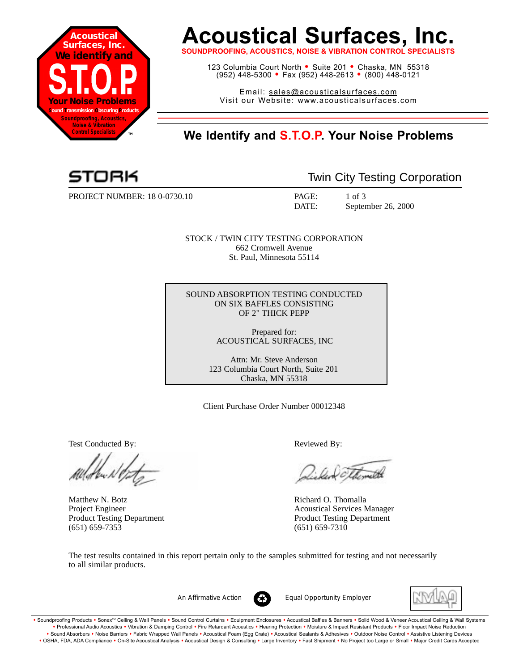

## **Acoustical Surfaces, Inc.**

**SOUNDPROOFING, ACOUSTICS, NOISE & VIBRATION CONTROL SF** 

123 Columbia Court North • Suite 201 • Chaska, MN 55318 (952) 448-5300 <sup>=</sup> Fax (952) 448-2613 <sup>=</sup> (800) 448-0121

Email: sales@acousticalsurfaces.com Visit our Website: www.acousticalsurfaces.com

## **™ We Identify and S.T.O.P. Your Noise Problems**

PROJECT NUMBER: 18 0-0730.10 PAGE: 1 of 3

Twin City Testing Corporation

DATE: September 26, 2000

STOCK / TWIN CITY TESTING CORPORATION 662 Cromwell Avenue St. Paul, Minnesota 55114

SOUND ABSORPTION TESTING CONDUCTED ON SIX BAFFLES CONSISTING OF 2" THICK PEPP

> Prepared for: ACOUSTICAL SURFACES, INC

Attn: Mr. Steve Anderson 123 Columbia Court North, Suite 201 Chaska, MN 55318

Client Purchase Order Number 00012348

Test Conducted By: Reviewed By:

Matthew N. Botz **Richard O. Thomalla** (651) 659-7353 (651) 659-7310

Voltmette

Project Engineer Acoustical Services Manager Product Testing Department Product Testing Department

The test results contained in this report pertain only to the samples submitted for testing and not necessarily to all similar products.



*An Affirmative Action Equal Opportunity Employer*



. Soundproofing Products . Sonex™ Ceiling & Wall Panels . Sound Control Curtains . Equipment Enclosures . Acoustical Baffles & Banners . Solid Wood & Veneer Acoustical Ceiling & Wall Systems **•** Professional Audio Acoustics **•** Vibration & Damping Control **•** Fire Retardant Acoustics **•** Hearing Protection **•** Moisture & Impact Resistant Products **•** Floor Impact Noise Reduction Sound Absorbers • Noise Barriers • Fabric Wrapped Wall Panels • Acoustical Foam (Egg Crate) • Acoustical Sealants & Adhesives • Outdoor Noise Control • Assistive Listening Devices . OSHA, FDA, ADA Compliance . On-Site Acoustical Analysis . Acoustical Design & Consulting . Large Inventory . Fast Shipment . No Project too Large or Small . Major Credit Cards Accepted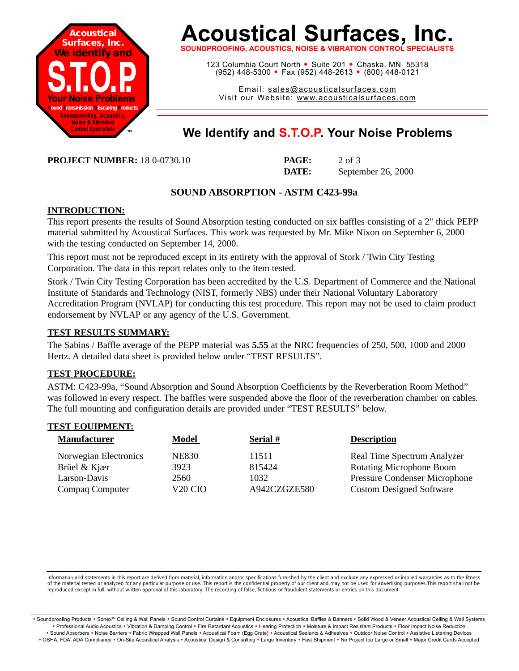

# **Acoustical Surfaces, Inc.**

**SOUNDPROOFING, ACOUSTICS, NOISE & VIBRATION CONTROL SPECIALISTS**

123 Columbia Court North · Suite 201 · Chaska, MN 55318 (952) 448-5300 <sup>=</sup> Fax (952) 448-2613 <sup>=</sup> (800) 448-0121

Email: sales@acousticalsurfaces.com Visit our Website: www.acousticalsurfaces.com

### **™ We Identify and S.T.O.P. Your Noise Problems**

**PROJECT NUMBER:** 18 0-0730.10 **PAGE:** 2 of 3

**DATE:** September 26, 2000

#### **SOUND ABSORPTION - ASTM C423-99a**

#### **INTRODUCTION:**

This report presents the results of Sound Absorption testing conducted on six baffles consisting of a 2" thick PEPP material submitted by Acoustical Surfaces. This work was requested by Mr. Mike Nixon on September 6, 2000 with the testing conducted on September 14, 2000.

This report must not be reproduced except in its entirety with the approval of Stork / Twin City Testing Corporation. The data in this report relates only to the item tested.

Stork / Twin City Testing Corporation has been accredited by the U.S. Department of Commerce and the National Institute of Standards and Technology (NIST, formerly NBS) under their National Voluntary Laboratory Accreditation Program (NVLAP) for conducting this test procedure. This report may not be used to claim product endorsement by NVLAP or any agency of the U.S. Government.

#### **TEST RESULTS SUMMARY:**

The Sabins / Baffle average of the PEPP material was **5.55** at the NRC frequencies of 250, 500, 1000 and 2000 Hertz. A detailed data sheet is provided below under "TEST RESULTS".

#### **TEST PROCEDURE:**

ASTM: C423-99a, "Sound Absorption and Sound Absorption Coefficients by the Reverberation Room Method" was followed in every respect. The baffles were suspended above the floor of the reverberation chamber on cables. The full mounting and configuration details are provided under "TEST RESULTS" below.

#### **TEST EQUIPMENT:**

| <b>Manufacturer</b>                                   | <b>Model</b>                 | Serial #                | <b>Description</b>                                                                                     |
|-------------------------------------------------------|------------------------------|-------------------------|--------------------------------------------------------------------------------------------------------|
| Norwegian Electronics<br>Brüel & Kjær<br>Larson-Davis | <b>NE830</b><br>3923<br>2560 | 11511<br>815424<br>1032 | Real Time Spectrum Analyzer<br><b>Rotating Microphone Boom</b><br><b>Pressure Condenser Microphone</b> |
| Compaq Computer                                       | V <sub>20</sub> CIO          | A942CZGZE580            | <b>Custom Designed Software</b>                                                                        |

Information arid statements in this report are derived from material, information and/or specifications furnished by the client and exclude any expressed or implied warranties as to the fitness of the material tested or analyzed for any particular purpose or use. This report is the confidential property of our client and may not be used for advertising purposes.This report shall not be reproduced except in full, without written approval of this laboratory. The recording of false, fictitious or fraudulent statements or entries on this document

· Soundproofing Products · Sonex™ Ceiling & Wall Panels · Sound Control Curtains · Equipment Enclosures · Acoustical Baffles & Banners · Solid Wood & Veneer Acoustical Ceiling & Wall Systems **•** Professional Audio Acoustics **•** Vibration & Damping Control **•** Fire Retardant Acoustics **•** Hearing Protection **•** Moisture & Impact Resistant Products **•** Floor Impact Noise Reduction Sound Absorbers • Noise Barriers • Fabric Wrapped Wall Panels • Acoustical Foam (Egg Crate) • Acoustical Sealants & Adhesives • Outdoor Noise Control • Assistive Listening Devices . OSHA, FDA, ADA Compliance . On-Site Acoustical Analysis . Acoustical Design & Consulting . Large Inventory . Fast Shipment . No Project too Large or Small . Major Credit Cards Accepted